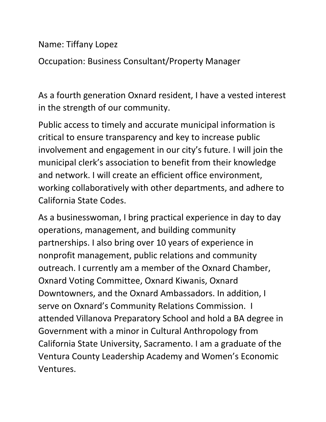Name: Tiffany Lopez

Occupation: Business Consultant/Property Manager

As a fourth generation Oxnard resident, I have a vested interest in the strength of our community.

Public access to timely and accurate municipal information is critical to ensure transparency and key to increase public involvement and engagement in our city's future. I will join the municipal clerk's association to benefit from their knowledge and network. I will create an efficient office environment, working collaboratively with other departments, and adhere to California State Codes.

As a businesswoman, I bring practical experience in day to day operations, management, and building community partnerships. I also bring over 10 years of experience in nonprofit management, public relations and community outreach. I currently am a member of the Oxnard Chamber, Oxnard Voting Committee, Oxnard Kiwanis, Oxnard Downtowners, and the Oxnard Ambassadors. In addition, I serve on Oxnard's Community Relations Commission. I attended Villanova Preparatory School and hold a BA degree in Government with a minor in Cultural Anthropology from California State University, Sacramento. I am a graduate of the Ventura County Leadership Academy and Women's Economic Ventures.